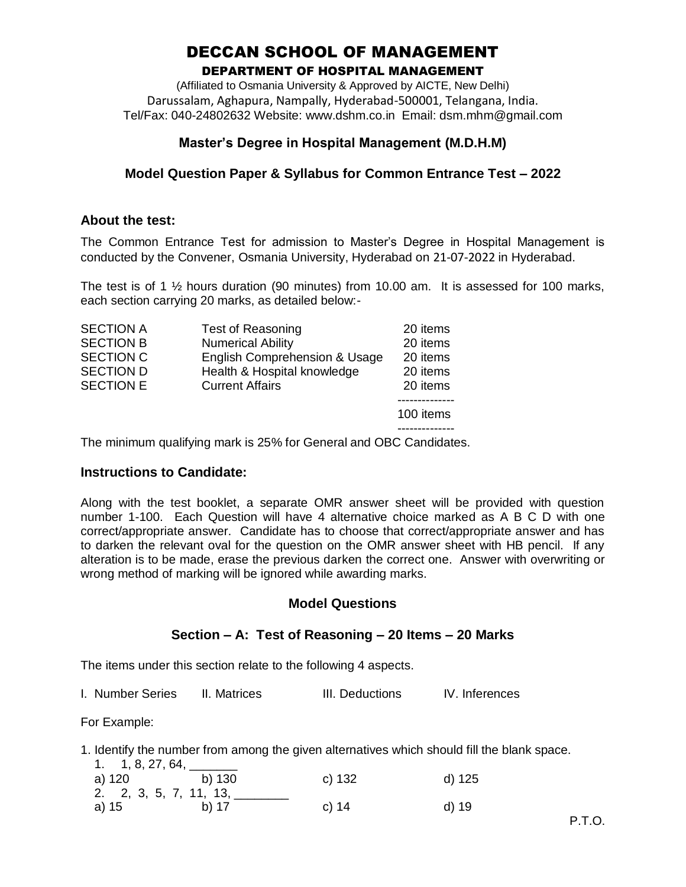# DECCAN SCHOOL OF MANAGEMENT

#### DEPARTMENT OF HOSPITAL MANAGEMENT

(Affiliated to Osmania University & Approved by AICTE, New Delhi) Darussalam, Aghapura, Nampally, Hyderabad-500001, Telangana, India. Tel/Fax: 040-24802632 Website: www.dshm.co.in Email: dsm.mhm@gmail.com

# **Master's Degree in Hospital Management (M.D.H.M)**

# **Model Question Paper & Syllabus for Common Entrance Test – 2022**

#### **About the test:**

The Common Entrance Test for admission to Master's Degree in Hospital Management is conducted by the Convener, Osmania University, Hyderabad on 21-07-2022 in Hyderabad.

The test is of 1  $\frac{1}{2}$  hours duration (90 minutes) from 10.00 am. It is assessed for 100 marks, each section carrying 20 marks, as detailed below:-

| <b>SECTION A</b> | <b>Test of Reasoning</b>      | 20 items  |
|------------------|-------------------------------|-----------|
| <b>SECTION B</b> | <b>Numerical Ability</b>      | 20 items  |
| <b>SECTION C</b> | English Comprehension & Usage | 20 items  |
| <b>SECTION D</b> | Health & Hospital knowledge   | 20 items  |
| <b>SECTION E</b> | <b>Current Affairs</b>        | 20 items  |
|                  |                               | 100 items |

The minimum qualifying mark is 25% for General and OBC Candidates.

## **Instructions to Candidate:**

Along with the test booklet, a separate OMR answer sheet will be provided with question number 1-100. Each Question will have 4 alternative choice marked as A B C D with one correct/appropriate answer. Candidate has to choose that correct/appropriate answer and has to darken the relevant oval for the question on the OMR answer sheet with HB pencil. If any alteration is to be made, erase the previous darken the correct one. Answer with overwriting or wrong method of marking will be ignored while awarding marks.

## **Model Questions**

## **Section – A: Test of Reasoning – 20 Items – 20 Marks**

The items under this section relate to the following 4 aspects.

|  |  | I. Number Series | II. Matrices | III. Deductions | IV. Inferences |
|--|--|------------------|--------------|-----------------|----------------|
|--|--|------------------|--------------|-----------------|----------------|

For Example:

1. Identify the number from among the given alternatives which should fill the blank space.

| 1. $1, 8, 27, 64,$ ___ |                        |        |        |
|------------------------|------------------------|--------|--------|
|                        | a) 120 b) 130          | c) 132 | d) 125 |
|                        | 2. 2, 3, 5, 7, 11, 13, |        |        |
| a) 15                  | b) 17                  | c) 14  | d) 19  |
|                        |                        |        |        |